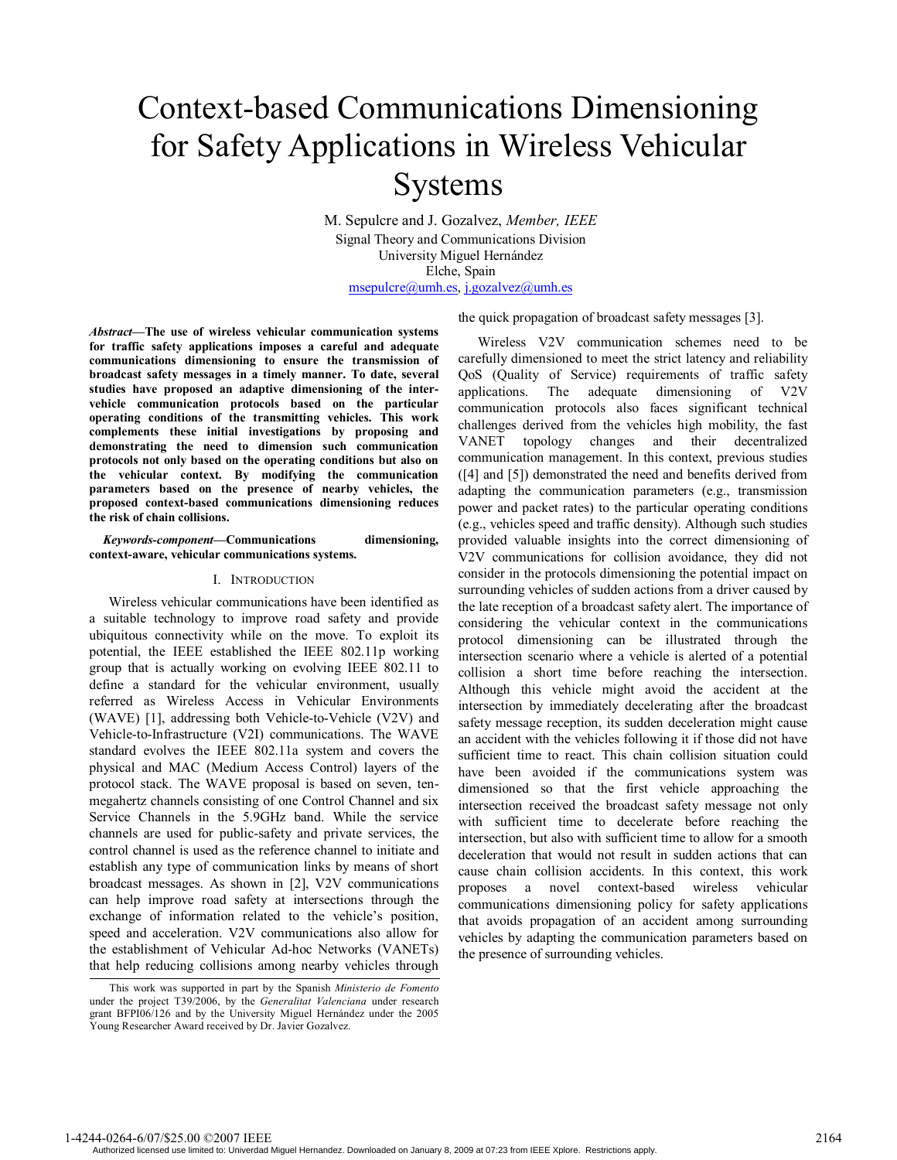# Context-based Communications Dimensioning for Safety Applications in Wireless Vehicular Systems

M. Sepulcre and J. Gozalvez, *Member, IEEE*  Signal Theory and Communications Division University Miguel Hernández Elche, Spain msepulcre@umh.es, j.gozalvez@umh.es

the quick propagation of broadcast safety messages [3].

*Abstract***—The use of wireless vehicular communication systems for traffic safety applications imposes a careful and adequate communications dimensioning to ensure the transmission of broadcast safety messages in a timely manner. To date, several studies have proposed an adaptive dimensioning of the intervehicle communication protocols based on the particular operating conditions of the transmitting vehicles. This work complements these initial investigations by proposing and demonstrating the need to dimension such communication protocols not only based on the operating conditions but also on the vehicular context. By modifying the communication parameters based on the presence of nearby vehicles, the proposed context-based communications dimensioning reduces the risk of chain collisions.** 

*Keywords-component***—Communications dimensioning, context-aware, vehicular communications systems.** 

#### I. INTRODUCTION

Wireless vehicular communications have been identified as a suitable technology to improve road safety and provide ubiquitous connectivity while on the move. To exploit its potential, the IEEE established the IEEE 802.11p working group that is actually working on evolving IEEE 802.11 to define a standard for the vehicular environment, usually referred as Wireless Access in Vehicular Environments (WAVE) [1], addressing both Vehicle-to-Vehicle (V2V) and Vehicle-to-Infrastructure (V2I) communications. The WAVE standard evolves the IEEE 802.11a system and covers the physical and MAC (Medium Access Control) layers of the protocol stack. The WAVE proposal is based on seven, tenmegahertz channels consisting of one Control Channel and six Service Channels in the 5.9GHz band. While the service channels are used for public-safety and private services, the control channel is used as the reference channel to initiate and establish any type of communication links by means of short broadcast messages. As shown in [2], V2V communications can help improve road safety at intersections through the exchange of information related to the vehicle's position, speed and acceleration. V2V communications also allow for the establishment of Vehicular Ad-hoc Networks (VANETs) that help reducing collisions among nearby vehicles through

Wireless V2V communication schemes need to be carefully dimensioned to meet the strict latency and reliability QoS (Quality of Service) requirements of traffic safety applications. The adequate dimensioning of V2V communication protocols also faces significant technical challenges derived from the vehicles high mobility, the fast VANET topology changes and their decentralized communication management. In this context, previous studies ([4] and [5]) demonstrated the need and benefits derived from adapting the communication parameters (e.g., transmission power and packet rates) to the particular operating conditions (e.g., vehicles speed and traffic density). Although such studies provided valuable insights into the correct dimensioning of V2V communications for collision avoidance, they did not consider in the protocols dimensioning the potential impact on surrounding vehicles of sudden actions from a driver caused by the late reception of a broadcast safety alert. The importance of considering the vehicular context in the communications protocol dimensioning can be illustrated through the intersection scenario where a vehicle is alerted of a potential collision a short time before reaching the intersection. Although this vehicle might avoid the accident at the intersection by immediately decelerating after the broadcast safety message reception, its sudden deceleration might cause an accident with the vehicles following it if those did not have sufficient time to react. This chain collision situation could have been avoided if the communications system was dimensioned so that the first vehicle approaching the intersection received the broadcast safety message not only with sufficient time to decelerate before reaching the intersection, but also with sufficient time to allow for a smooth deceleration that would not result in sudden actions that can cause chain collision accidents. In this context, this work proposes a novel context-based wireless vehicular communications dimensioning policy for safety applications that avoids propagation of an accident among surrounding vehicles by adapting the communication parameters based on the presence of surrounding vehicles.

Authorized licensed use limited to: Univerdad Miguel Hernandez. Downloaded on January 8, 2009 at 07:23 from IEEE Xplore. Restrictions apply.

This work was supported in part by the Spanish *Ministerio de Fomento* under the project T39/2006, by the *Generalitat Valenciana* under research grant BFPI06/126 and by the University Miguel Hernández under the 2005 Young Researcher Award received by Dr. Javier Gozalvez.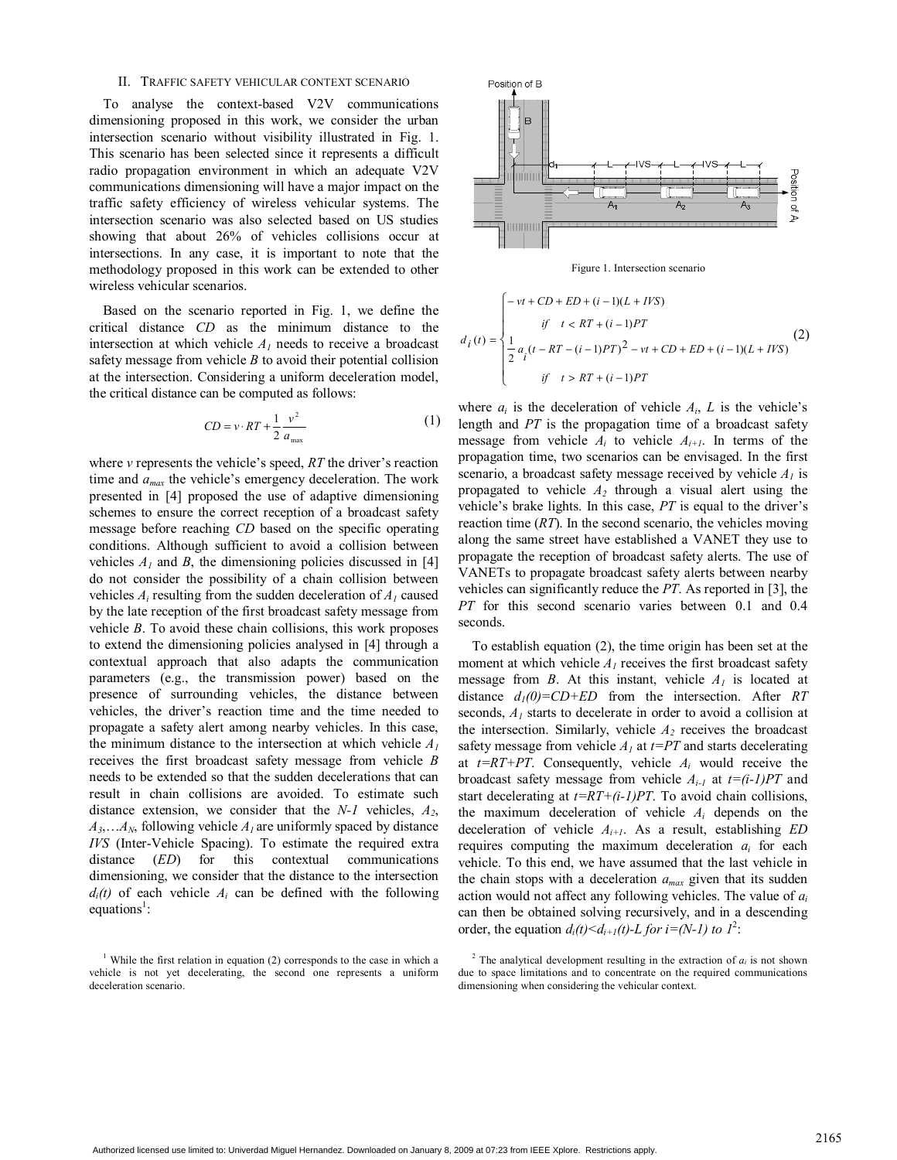#### II. TRAFFIC SAFETY VEHICULAR CONTEXT SCENARIO

To analyse the context-based V2V communications dimensioning proposed in this work, we consider the urban intersection scenario without visibility illustrated in Fig. 1. This scenario has been selected since it represents a difficult radio propagation environment in which an adequate V2V communications dimensioning will have a major impact on the traffic safety efficiency of wireless vehicular systems. The intersection scenario was also selected based on US studies showing that about 26% of vehicles collisions occur at intersections. In any case, it is important to note that the methodology proposed in this work can be extended to other wireless vehicular scenarios.

Based on the scenario reported in Fig. 1, we define the critical distance *CD* as the minimum distance to the intersection at which vehicle  $A<sub>l</sub>$  needs to receive a broadcast safety message from vehicle *B* to avoid their potential collision at the intersection. Considering a uniform deceleration model, the critical distance can be computed as follows:

$$
CD = v \cdot RT + \frac{1}{2} \frac{v^2}{a_{\text{max}}} \tag{1}
$$

where *v* represents the vehicle's speed, *RT* the driver's reaction time and *amax* the vehicle's emergency deceleration. The work presented in [4] proposed the use of adaptive dimensioning schemes to ensure the correct reception of a broadcast safety message before reaching *CD* based on the specific operating conditions. Although sufficient to avoid a collision between vehicles  $A_1$  and  $B$ , the dimensioning policies discussed in [4] do not consider the possibility of a chain collision between vehicles  $A_i$  resulting from the sudden deceleration of  $A_i$  caused by the late reception of the first broadcast safety message from vehicle *B*. To avoid these chain collisions, this work proposes to extend the dimensioning policies analysed in [4] through a contextual approach that also adapts the communication parameters (e.g., the transmission power) based on the presence of surrounding vehicles, the distance between vehicles, the driver's reaction time and the time needed to propagate a safety alert among nearby vehicles. In this case, the minimum distance to the intersection at which vehicle  $A<sub>1</sub>$ receives the first broadcast safety message from vehicle *B* needs to be extended so that the sudden decelerations that can result in chain collisions are avoided. To estimate such distance extension, we consider that the *N-1* vehicles, *A2*,  $A_3$ ,  $A_N$ , following vehicle  $A_l$  are uniformly spaced by distance *IVS* (Inter-Vehicle Spacing). To estimate the required extra distance (*ED*) for this contextual communications dimensioning, we consider that the distance to the intersection  $d_i(t)$  of each vehicle  $A_i$  can be defined with the following equations<sup>1</sup>:



Figure 1. Intersection scenario

$$
d_i(t) = \begin{cases} -vt + CD + ED + (i - 1)(L + IVS) \\ \quad \text{if} \quad t < RT + (i - 1)PT \\ \frac{1}{2} a_i (t - RT - (i - 1)PT)^2 - vt + CD + ED + (i - 1)(L + IVS) \\ \quad \text{if} \quad t > RT + (i - 1)PT \end{cases} \tag{2}
$$

where  $a_i$  is the deceleration of vehicle  $A_i$ ,  $L$  is the vehicle's length and *PT* is the propagation time of a broadcast safety message from vehicle  $A_i$  to vehicle  $A_{i+1}$ . In terms of the propagation time, two scenarios can be envisaged. In the first scenario, a broadcast safety message received by vehicle  $A<sub>l</sub>$  is propagated to vehicle *A2* through a visual alert using the vehicle's brake lights. In this case, *PT* is equal to the driver's reaction time (*RT*). In the second scenario, the vehicles moving along the same street have established a VANET they use to propagate the reception of broadcast safety alerts. The use of VANETs to propagate broadcast safety alerts between nearby vehicles can significantly reduce the *PT*. As reported in [3], the *PT* for this second scenario varies between 0.1 and 0.4 seconds.

To establish equation (2), the time origin has been set at the moment at which vehicle  $A<sub>I</sub>$  receives the first broadcast safety message from *B*. At this instant, vehicle  $A<sub>1</sub>$  is located at distance  $d_1(0) = CD + ED$  from the intersection. After *RT* seconds, *A1* starts to decelerate in order to avoid a collision at the intersection. Similarly, vehicle  $A_2$  receives the broadcast safety message from vehicle  $A_1$  at  $t=PT$  and starts decelerating at *t=RT+PT*. Consequently, vehicle *Ai* would receive the broadcast safety message from vehicle *Ai-1* at *t=(i-1)PT* and start decelerating at *t=RT+(i-1)PT*. To avoid chain collisions, the maximum deceleration of vehicle *Ai* depends on the deceleration of vehicle *Ai+1*. As a result, establishing *ED* requires computing the maximum deceleration  $a_i$  for each vehicle. To this end, we have assumed that the last vehicle in the chain stops with a deceleration *amax* given that its sudden action would not affect any following vehicles. The value of *ai* can then be obtained solving recursively, and in a descending order, the equation  $d_i(t) \leq d_{i+1}(t) - L$  for  $i = (N-1)$  to  $1^2$ .

<sup>&</sup>lt;sup>1</sup> While the first relation in equation (2) corresponds to the case in which a vehicle is not yet decelerating, the second one represents a uniform deceleration scenario.

<sup>&</sup>lt;sup>2</sup> The analytical development resulting in the extraction of  $a_i$  is not shown due to space limitations and to concentrate on the required communications dimensioning when considering the vehicular context.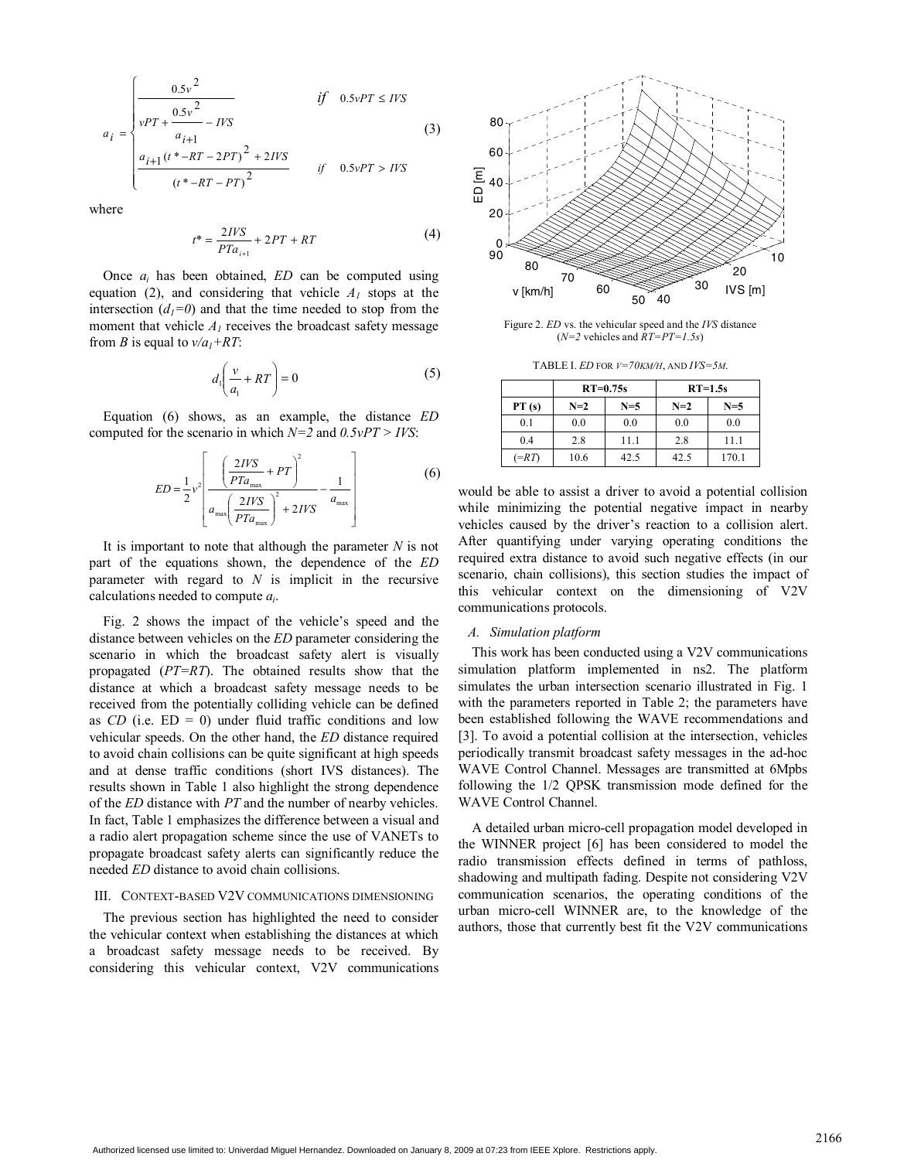$$
a_{i} = \begin{cases} \frac{0.5v^{2}}{vPT + \frac{0.5v^{2}}{a_{i+1}} - IVS} & \text{if } 0.5vPT \leq IVS\\ \frac{a_{i+1}(t^{*} - RT - 2PT)^{2} + 2IVS}{(t^{*} - RT - PT)^{2}} & \text{if } 0.5vPT > IVS \end{cases}
$$
(3)

where

$$
t^* = \frac{2IVS}{PTa_{i+1}} + 2PT + RT
$$
 (4)

Once *ai* has been obtained, *ED* can be computed using equation (2), and considering that vehicle  $A<sub>1</sub>$  stops at the intersection  $(d_1=0)$  and that the time needed to stop from the moment that vehicle  $A<sub>l</sub>$  receives the broadcast safety message from *B* is equal to  $v/a_1 + RT$ :

$$
d_1\left(\frac{\nu}{a_1} + RT\right) = 0\tag{5}
$$

Equation (6) shows, as an example, the distance *ED* computed for the scenario in which *N=2* and *0.5vPT > IVS*:

$$
ED = \frac{1}{2}v^2 \left[ \frac{\left(\frac{2IVS}{PTa_{\text{max}}} + PT\right)^2}{a_{\text{max}} \left(\frac{2IVS}{PTa_{\text{max}}}\right)^2 + 2IVS} - \frac{1}{a_{\text{max}}} \right]
$$
(6)

It is important to note that although the parameter *N* is not part of the equations shown, the dependence of the *ED* parameter with regard to *N* is implicit in the recursive calculations needed to compute *ai*.

Fig. 2 shows the impact of the vehicle's speed and the distance between vehicles on the *ED* parameter considering the scenario in which the broadcast safety alert is visually propagated (*PT=RT*). The obtained results show that the distance at which a broadcast safety message needs to be received from the potentially colliding vehicle can be defined as  $CD$  (i.e.  $ED = 0$ ) under fluid traffic conditions and low vehicular speeds. On the other hand, the *ED* distance required to avoid chain collisions can be quite significant at high speeds and at dense traffic conditions (short IVS distances). The results shown in Table 1 also highlight the strong dependence of the *ED* distance with *PT* and the number of nearby vehicles. In fact, Table 1 emphasizes the difference between a visual and a radio alert propagation scheme since the use of VANETs to propagate broadcast safety alerts can significantly reduce the needed *ED* distance to avoid chain collisions.

#### III. CONTEXT-BASED V2V COMMUNICATIONS DIMENSIONING

The previous section has highlighted the need to consider the vehicular context when establishing the distances at which a broadcast safety message needs to be received. By considering this vehicular context, V2V communications



Figure 2. *ED* vs. the vehicular speed and the *IVS* distance  $(N=2 \text{ vehicles and } RT=PT=1.5s)$ 

TABLE I. *ED* FOR *V=70KM/H*, AND *IVS=5M*.

|             | $RT=0.75s$ |       | $RT=1.5s$ |       |
|-------------|------------|-------|-----------|-------|
| PT(s)       | $N=2$      | $N=5$ | $N=2$     | $N=5$ |
| 0.1         | 0.0        | 0.0   | 0.0       | 0.0   |
| 0.4         | 2.8        | 11.1  | 2.8       | 11.1  |
| $(=\!\!RT)$ | 10.6       | 42.5  | 42.5      | 170.1 |

would be able to assist a driver to avoid a potential collision while minimizing the potential negative impact in nearby vehicles caused by the driver's reaction to a collision alert. After quantifying under varying operating conditions the required extra distance to avoid such negative effects (in our scenario, chain collisions), this section studies the impact of this vehicular context on the dimensioning of V2V communications protocols.

#### *A. Simulation platform*

This work has been conducted using a V2V communications simulation platform implemented in ns2. The platform simulates the urban intersection scenario illustrated in Fig. 1 with the parameters reported in Table 2; the parameters have been established following the WAVE recommendations and [3]. To avoid a potential collision at the intersection, vehicles periodically transmit broadcast safety messages in the ad-hoc WAVE Control Channel. Messages are transmitted at 6Mpbs following the 1/2 QPSK transmission mode defined for the WAVE Control Channel.

A detailed urban micro-cell propagation model developed in the WINNER project [6] has been considered to model the radio transmission effects defined in terms of pathloss, shadowing and multipath fading. Despite not considering V2V communication scenarios, the operating conditions of the urban micro-cell WINNER are, to the knowledge of the authors, those that currently best fit the V2V communications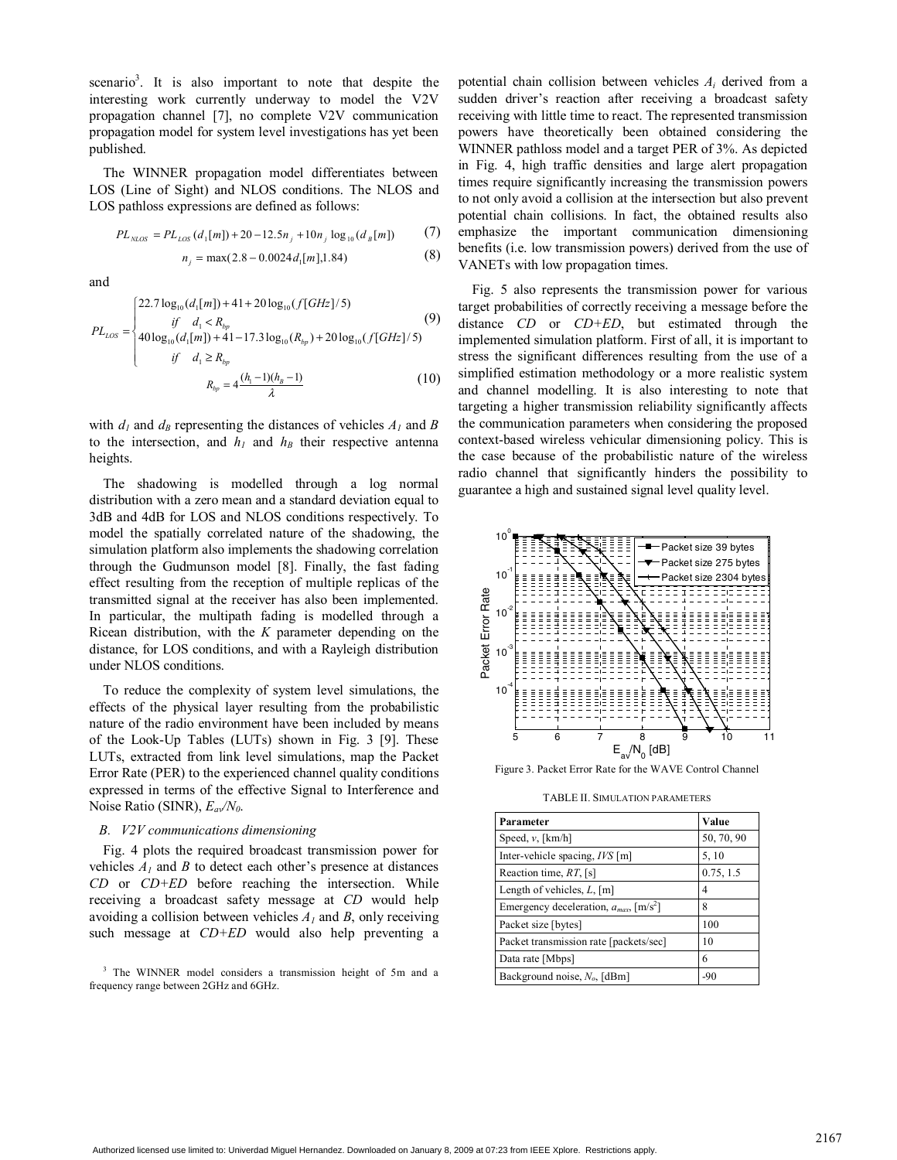scenario<sup>3</sup>. It is also important to note that despite the interesting work currently underway to model the V2V propagation channel [7], no complete V2V communication propagation model for system level investigations has yet been published.

The WINNER propagation model differentiates between LOS (Line of Sight) and NLOS conditions. The NLOS and LOS pathloss expressions are defined as follows:

$$
PL_{NLOS} = PL_{LOS}(d_1[m]) + 20 - 12.5n_j + 10n_j \log_{10}(d_B[m])
$$
 (7)

$$
n_j = \max(2.8 - 0.0024 d_1[m], 1.84)
$$
 (8)

and

$$
PL_{LOS} = \begin{cases} 22.7 \log_{10}(d_1[m]) + 41 + 20 \log_{10}(f[GHz]/5) & (9) \\ \text{if} \quad d_1 < R_{bp} \\ 40 \log_{10}(d_1[m]) + 41 - 17.3 \log_{10}(R_{bp}) + 20 \log_{10}(f[GHz]/5) \\ \text{if} \quad d_1 \ge R_{bp} \\ R_{bp} = 4 \frac{(h_1 - 1)(h_B - 1)}{\lambda} \end{cases}
$$

with  $d_1$  and  $d_B$  representing the distances of vehicles  $A_1$  and  $B$ to the intersection, and  $h_1$  and  $h_B$  their respective antenna heights.

The shadowing is modelled through a log normal distribution with a zero mean and a standard deviation equal to 3dB and 4dB for LOS and NLOS conditions respectively. To model the spatially correlated nature of the shadowing, the simulation platform also implements the shadowing correlation through the Gudmunson model [8]. Finally, the fast fading effect resulting from the reception of multiple replicas of the transmitted signal at the receiver has also been implemented. In particular, the multipath fading is modelled through a Ricean distribution, with the *K* parameter depending on the distance, for LOS conditions, and with a Rayleigh distribution under NLOS conditions.

To reduce the complexity of system level simulations, the effects of the physical layer resulting from the probabilistic nature of the radio environment have been included by means of the Look-Up Tables (LUTs) shown in Fig. 3 [9]. These LUTs, extracted from link level simulations, map the Packet Error Rate (PER) to the experienced channel quality conditions expressed in terms of the effective Signal to Interference and Noise Ratio (SINR), *Eav/N0*.

#### *B. V2V communications dimensioning*

Fig. 4 plots the required broadcast transmission power for vehicles  $A_1$  and  $B$  to detect each other's presence at distances *CD* or *CD+ED* before reaching the intersection. While receiving a broadcast safety message at *CD* would help avoiding a collision between vehicles *A1* and *B*, only receiving such message at *CD+ED* would also help preventing a

<sup>3</sup> The WINNER model considers a transmission height of 5m and a frequency range between 2GHz and 6GHz.

potential chain collision between vehicles *Ai* derived from a sudden driver's reaction after receiving a broadcast safety receiving with little time to react. The represented transmission powers have theoretically been obtained considering the WINNER pathloss model and a target PER of 3%. As depicted in Fig. 4, high traffic densities and large alert propagation times require significantly increasing the transmission powers to not only avoid a collision at the intersection but also prevent potential chain collisions. In fact, the obtained results also emphasize the important communication dimensioning benefits (i.e. low transmission powers) derived from the use of VANETs with low propagation times.

Fig. 5 also represents the transmission power for various target probabilities of correctly receiving a message before the distance *CD* or *CD+ED*, but estimated through the implemented simulation platform. First of all, it is important to stress the significant differences resulting from the use of a simplified estimation methodology or a more realistic system and channel modelling. It is also interesting to note that targeting a higher transmission reliability significantly affects the communication parameters when considering the proposed context-based wireless vehicular dimensioning policy. This is the case because of the probabilistic nature of the wireless radio channel that significantly hinders the possibility to guarantee a high and sustained signal level quality level.



Figure 3. Packet Error Rate for the WAVE Control Channel

TABLE II. SIMULATION PARAMETERS

| Parameter                                               | Value      |
|---------------------------------------------------------|------------|
| Speed, $v$ , [km/h]                                     | 50, 70, 90 |
| Inter-vehicle spacing, IVS [m]                          | 5, 10      |
| Reaction time, $RT$ , [s]                               | 0.75, 1.5  |
| Length of vehicles, $L$ , [m]                           | 4          |
| Emergency deceleration, $a_{max}$ , [m/s <sup>2</sup> ] | 8          |
| Packet size [bytes]                                     | 100        |
| Packet transmission rate [packets/sec]                  | 10         |
| Data rate [Mbps]                                        | 6          |
| Background noise, $N_o$ , [dBm]                         | $-90$      |